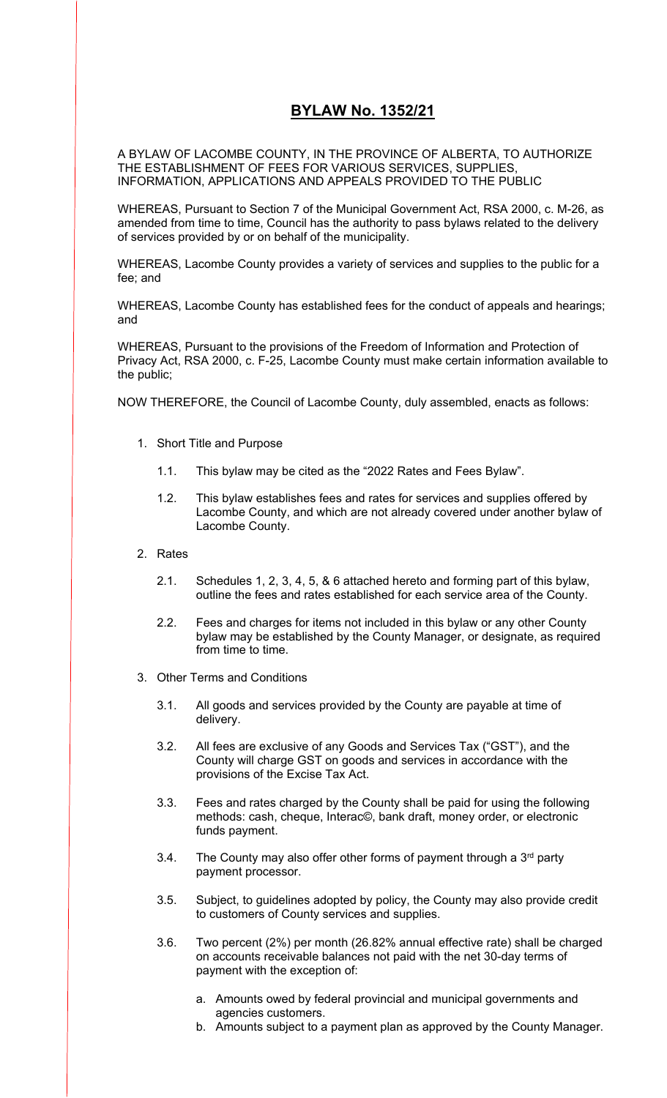# **BYLAW No. 1352/21**

A BYLAW OF LACOMBE COUNTY, IN THE PROVINCE OF ALBERTA, TO AUTHORIZE THE ESTABLISHMENT OF FEES FOR VARIOUS SERVICES, SUPPLIES, INFORMATION, APPLICATIONS AND APPEALS PROVIDED TO THE PUBLIC

WHEREAS, Pursuant to Section 7 of the Municipal Government Act, RSA 2000, c. M-26, as amended from time to time, Council has the authority to pass bylaws related to the delivery of services provided by or on behalf of the municipality.

WHEREAS, Lacombe County provides a variety of services and supplies to the public for a fee; and

WHEREAS, Lacombe County has established fees for the conduct of appeals and hearings; and

WHEREAS, Pursuant to the provisions of the Freedom of Information and Protection of Privacy Act, RSA 2000, c. F-25, Lacombe County must make certain information available to the public;

NOW THEREFORE, the Council of Lacombe County, duly assembled, enacts as follows:

- 1. Short Title and Purpose
	- 1.1. This bylaw may be cited as the "2022 Rates and Fees Bylaw".
	- 1.2. This bylaw establishes fees and rates for services and supplies offered by Lacombe County, and which are not already covered under another bylaw of Lacombe County.
- 2. Rates
	- 2.1. Schedules 1, 2, 3, 4, 5, & 6 attached hereto and forming part of this bylaw, outline the fees and rates established for each service area of the County.
	- 2.2. Fees and charges for items not included in this bylaw or any other County bylaw may be established by the County Manager, or designate, as required from time to time.
- 3. Other Terms and Conditions
	- 3.1. All goods and services provided by the County are payable at time of delivery.
	- 3.2. All fees are exclusive of any Goods and Services Tax ("GST"), and the County will charge GST on goods and services in accordance with the provisions of the Excise Tax Act.
	- 3.3. Fees and rates charged by the County shall be paid for using the following methods: cash, cheque, Interac©, bank draft, money order, or electronic funds payment.
	- 3.4. The County may also offer other forms of payment through a  $3<sup>rd</sup>$  party payment processor.
	- 3.5. Subject, to guidelines adopted by policy, the County may also provide credit to customers of County services and supplies.
	- 3.6. Two percent (2%) per month (26.82% annual effective rate) shall be charged on accounts receivable balances not paid with the net 30-day terms of payment with the exception of:
		- a. Amounts owed by federal provincial and municipal governments and agencies customers.
		- b. Amounts subject to a payment plan as approved by the County Manager.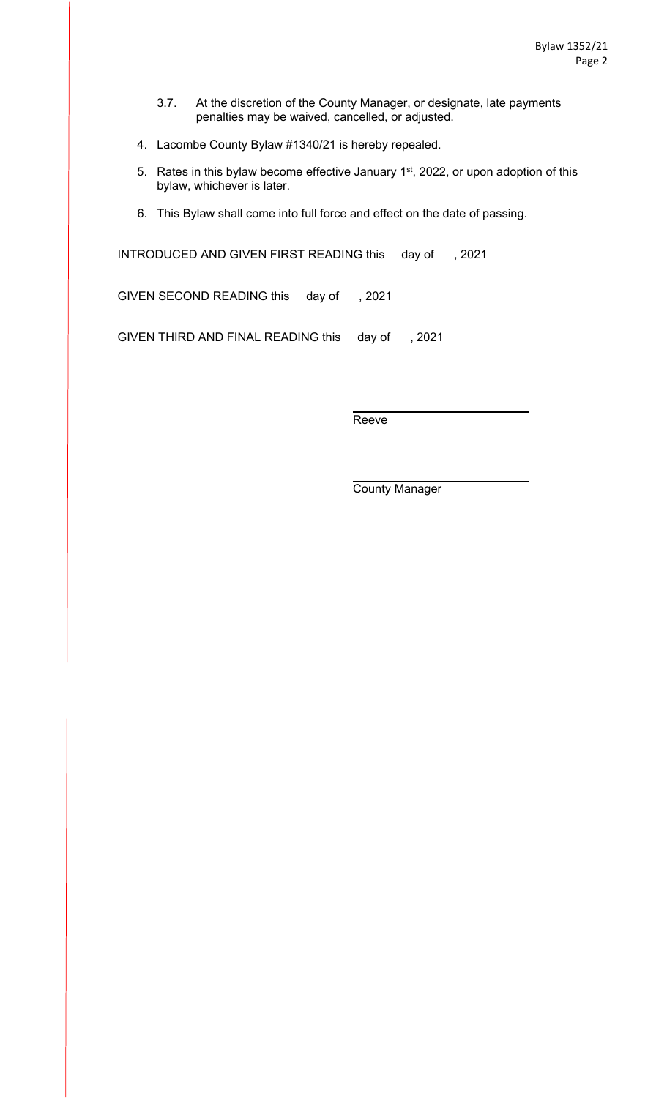- 3.7. At the discretion of the County Manager, or designate, late payments penalties may be waived, cancelled, or adjusted.
- 4. Lacombe County Bylaw #1340/21 is hereby repealed.
- 5. Rates in this bylaw become effective January 1<sup>st</sup>, 2022, or upon adoption of this bylaw, whichever is later.
- 6. This Bylaw shall come into full force and effect on the date of passing.

INTRODUCED AND GIVEN FIRST READING this day of , 2021

GIVEN SECOND READING this day of , 2021

GIVEN THIRD AND FINAL READING this day of , 2021

Reeve

County Manager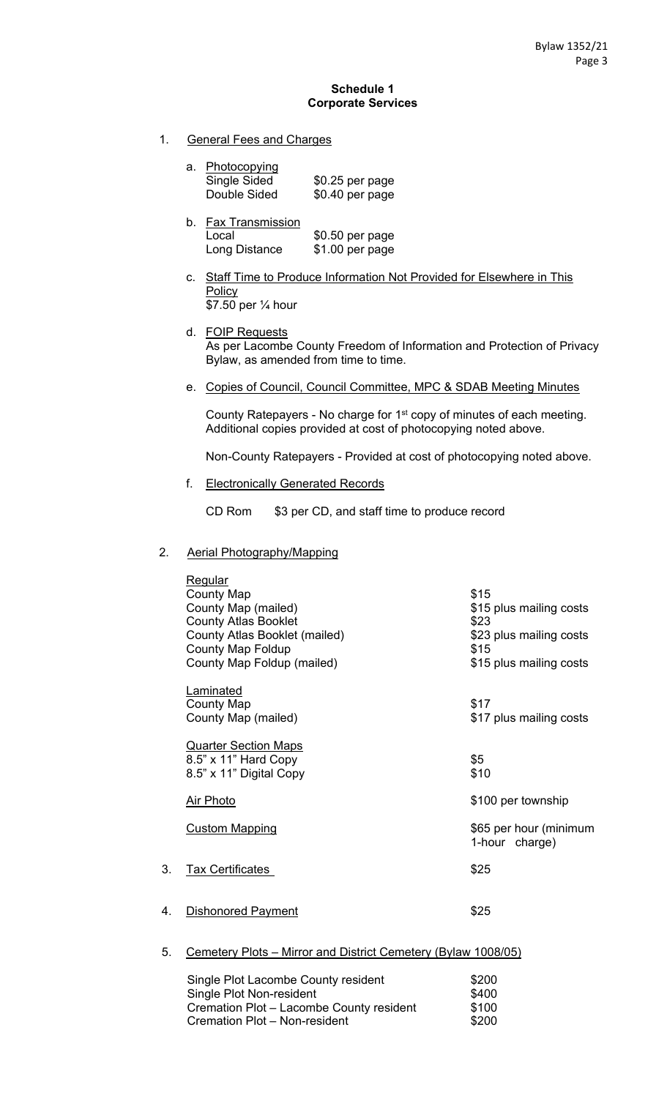#### **Schedule 1 Corporate Services**

1. General Fees and Charges

| a. Photocopying |                  |
|-----------------|------------------|
| Single Sided    | $$0.25$ per page |
| Double Sided    | \$0.40 per page  |

- b. Fax Transmission Local \$0.50 per page Long Distance \$1.00 per page
- c. Staff Time to Produce Information Not Provided for Elsewhere in This **Policy** \$7.50 per ¼ hour
- d. FOIP Requests As per Lacombe County Freedom of Information and Protection of Privacy Bylaw, as amended from time to time.
- e. Copies of Council, Council Committee, MPC & SDAB Meeting Minutes

County Ratepayers - No charge for 1<sup>st</sup> copy of minutes of each meeting. Additional copies provided at cost of photocopying noted above.

Non-County Ratepayers - Provided at cost of photocopying noted above.

f. Electronically Generated Records

CD Rom \$3 per CD, and staff time to produce record

#### 2. Aerial Photography/Mapping

|    | <b>Regular</b><br><b>County Map</b><br>County Map (mailed)<br><b>County Atlas Booklet</b><br>County Atlas Booklet (mailed)<br><b>County Map Foldup</b><br>County Map Foldup (mailed) | \$15<br>\$15 plus mailing costs<br>\$23<br>\$23 plus mailing costs<br>\$15<br>\$15 plus mailing costs |
|----|--------------------------------------------------------------------------------------------------------------------------------------------------------------------------------------|-------------------------------------------------------------------------------------------------------|
|    | <b>Laminated</b><br><b>County Map</b><br>County Map (mailed)                                                                                                                         | \$17<br>\$17 plus mailing costs                                                                       |
|    | <b>Quarter Section Maps</b><br>8.5" x 11" Hard Copy<br>8.5" x 11" Digital Copy                                                                                                       | \$5<br>\$10                                                                                           |
|    | <b>Air Photo</b>                                                                                                                                                                     | \$100 per township                                                                                    |
|    | <b>Custom Mapping</b>                                                                                                                                                                | \$65 per hour (minimum<br>1-hour charge)                                                              |
| 3. | <b>Tax Certificates</b>                                                                                                                                                              | \$25                                                                                                  |
| 4. | <b>Dishonored Payment</b>                                                                                                                                                            | \$25                                                                                                  |
| 5. | Cemetery Plots - Mirror and District Cemetery (Bylaw 1008/05)                                                                                                                        |                                                                                                       |

| Single Plot Lacombe County resident      | \$200 |
|------------------------------------------|-------|
| Single Plot Non-resident                 | \$400 |
| Cremation Plot - Lacombe County resident | \$100 |
| Cremation Plot - Non-resident            | \$200 |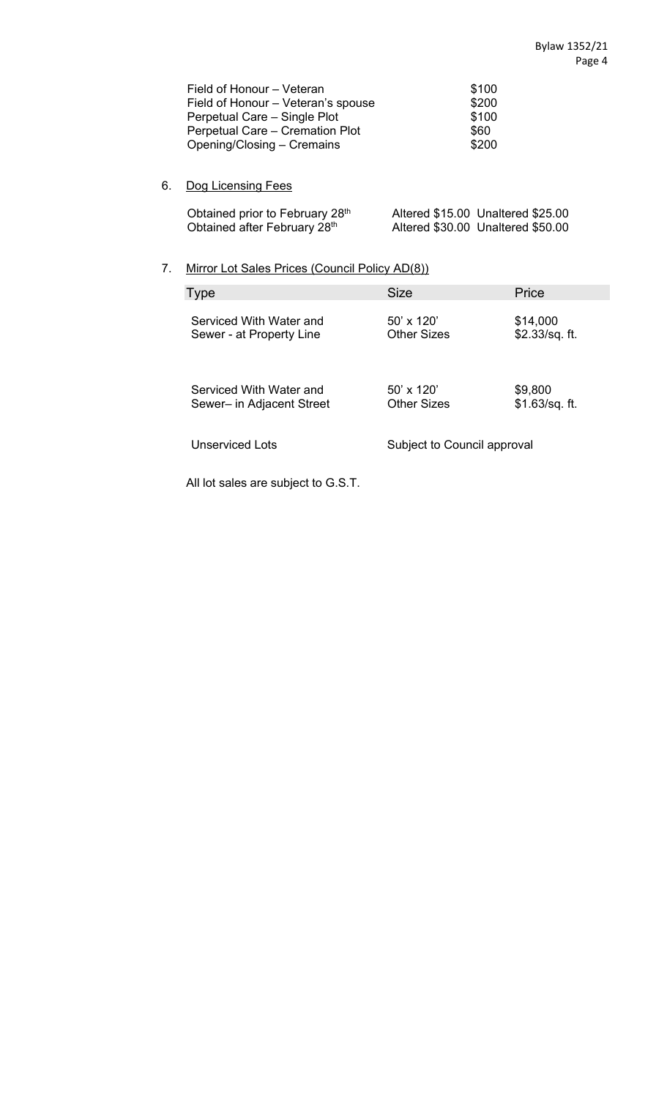| Field of Honour – Veteran          | \$100 |
|------------------------------------|-------|
| Field of Honour - Veteran's spouse | \$200 |
| Perpetual Care – Single Plot       | \$100 |
| Perpetual Care – Cremation Plot    | \$60  |
| Opening/Closing – Cremains         | \$200 |

## 6. Dog Licensing Fees

| Obtained prior to February 28th | Altered \$15.00 Unaltered \$25.00 |
|---------------------------------|-----------------------------------|
| Obtained after February 28th    | Altered \$30.00 Unaltered \$50.00 |
|                                 |                                   |

## 7. Mirror Lot Sales Prices (Council Policy AD(8))

| Type                      | <b>Size</b>                 | Price          |
|---------------------------|-----------------------------|----------------|
| Serviced With Water and   | $50' \times 120'$           | \$14,000       |
| Sewer - at Property Line  | <b>Other Sizes</b>          | \$2.33/sq. ft. |
| Serviced With Water and   | $50' \times 120'$           | \$9,800        |
| Sewer- in Adjacent Street | Other Sizes                 | \$1.63/sq. ft. |
| <b>Unserviced Lots</b>    | Subject to Council approval |                |

All lot sales are subject to G.S.T.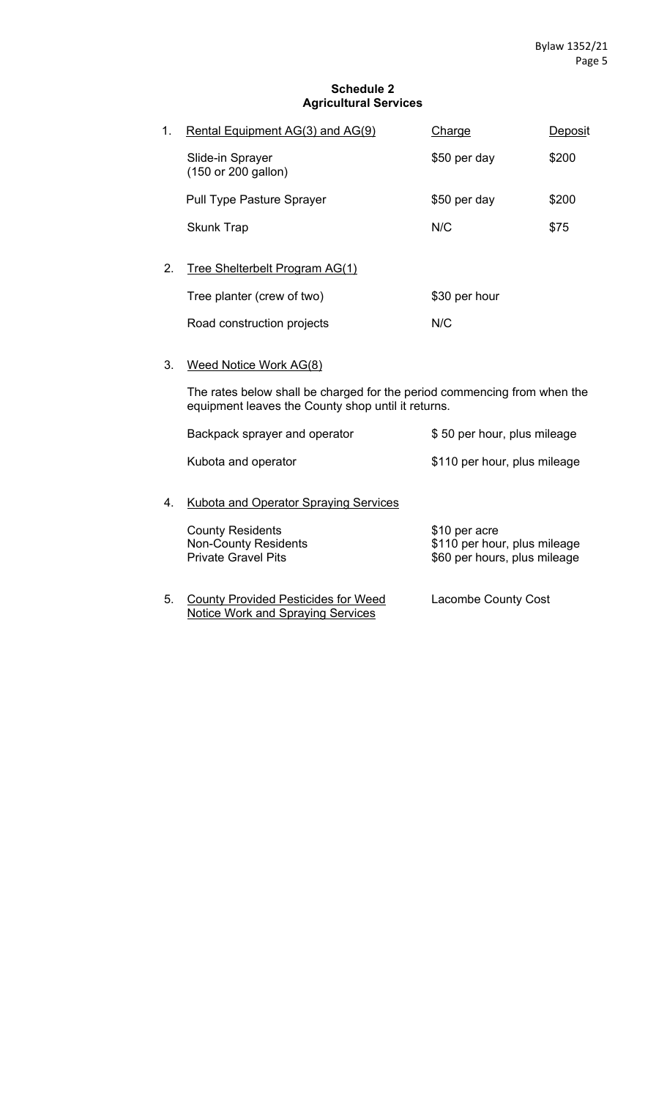#### **Schedule 2 Agricultural Services**

| 1. | Rental Equipment AG(3) and AG(9)        | Charge        | Deposit |
|----|-----------------------------------------|---------------|---------|
|    | Slide-in Sprayer<br>(150 or 200 gallon) | \$50 per day  | \$200   |
|    | <b>Pull Type Pasture Sprayer</b>        | \$50 per day  | \$200   |
|    | <b>Skunk Trap</b>                       | N/C           | \$75    |
| 2. | Tree Shelterbelt Program AG(1)          |               |         |
|    | Tree planter (crew of two)              | \$30 per hour |         |

Road construction projects M/C

3. Weed Notice Work AG(8)

The rates below shall be charged for the period commencing from when the equipment leaves the County shop until it returns.

|    | Backpack sprayer and operator                                                        | \$50 per hour, plus mileage                                                   |
|----|--------------------------------------------------------------------------------------|-------------------------------------------------------------------------------|
|    | Kubota and operator                                                                  | \$110 per hour, plus mileage                                                  |
| 4. | Kubota and Operator Spraying Services                                                |                                                                               |
|    | <b>County Residents</b><br><b>Non-County Residents</b><br><b>Private Gravel Pits</b> | \$10 per acre<br>\$110 per hour, plus mileage<br>\$60 per hours, plus mileage |
|    |                                                                                      |                                                                               |

5. County Provided Pesticides for Weed Lacombe County Cost Notice Work and Spraying Services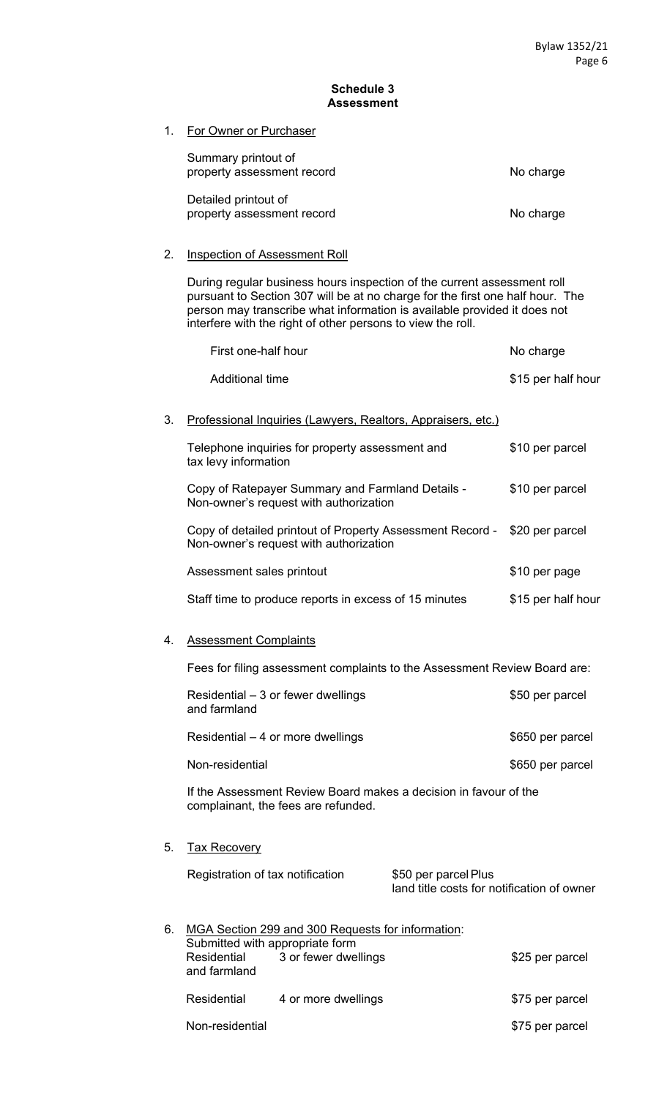#### **Schedule 3 Assessment**

1. For Owner or Purchaser

| Summary printout of<br>property assessment record  | No charge |
|----------------------------------------------------|-----------|
| Detailed printout of<br>property assessment record | No charge |

## 2. Inspection of Assessment Roll

During regular business hours inspection of the current assessment roll pursuant to Section 307 will be at no charge for the first one half hour. The person may transcribe what information is available provided it does not interfere with the right of other persons to view the roll.

|    | First one-half hour                                                                                                                                |                                                                    | No charge          |
|----|----------------------------------------------------------------------------------------------------------------------------------------------------|--------------------------------------------------------------------|--------------------|
|    | <b>Additional time</b>                                                                                                                             |                                                                    | \$15 per half hour |
| 3. | Professional Inquiries (Lawyers, Realtors, Appraisers, etc.)                                                                                       |                                                                    |                    |
|    | Telephone inquiries for property assessment and<br>tax levy information                                                                            |                                                                    | \$10 per parcel    |
|    | Copy of Ratepayer Summary and Farmland Details -<br>Non-owner's request with authorization                                                         |                                                                    | \$10 per parcel    |
|    | Copy of detailed printout of Property Assessment Record - \$20 per parcel<br>Non-owner's request with authorization                                |                                                                    |                    |
|    | Assessment sales printout                                                                                                                          |                                                                    | \$10 per page      |
|    | Staff time to produce reports in excess of 15 minutes                                                                                              |                                                                    | \$15 per half hour |
| 4. | <b>Assessment Complaints</b>                                                                                                                       |                                                                    |                    |
|    | Fees for filing assessment complaints to the Assessment Review Board are:                                                                          |                                                                    |                    |
|    | Residential – 3 or fewer dwellings<br>and farmland                                                                                                 |                                                                    | \$50 per parcel    |
|    | Residential $-4$ or more dwellings                                                                                                                 |                                                                    | \$650 per parcel   |
|    | Non-residential                                                                                                                                    |                                                                    | \$650 per parcel   |
|    | If the Assessment Review Board makes a decision in favour of the<br>complainant, the fees are refunded.                                            |                                                                    |                    |
| 5. | <b>Tax Recovery</b>                                                                                                                                |                                                                    |                    |
|    | Registration of tax notification                                                                                                                   | \$50 per parcel Plus<br>land title costs for notification of owner |                    |
| 6. | MGA Section 299 and 300 Requests for information:<br>Submitted with appropriate form<br>3 or fewer dwellings<br><b>Residential</b><br>and farmland |                                                                    | \$25 per parcel    |
|    | Residential<br>4 or more dwellings                                                                                                                 |                                                                    | \$75 per parcel    |

Non-residential **\$75 per parcel**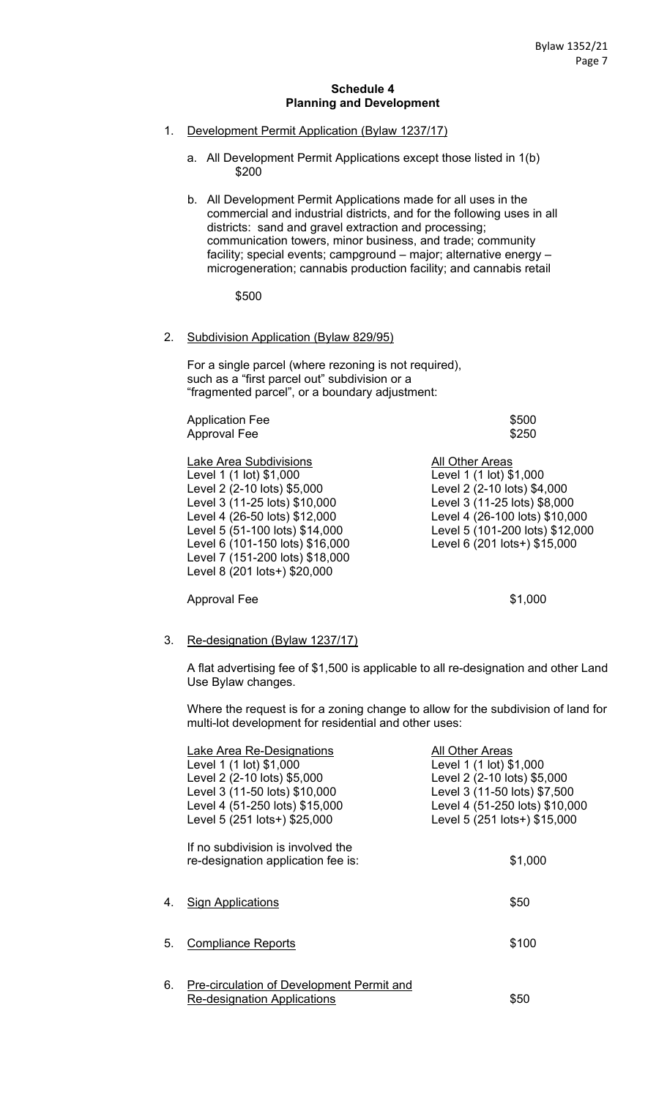#### **Schedule 4 Planning and Development**

- 1. Development Permit Application (Bylaw 1237/17)
	- a. All Development Permit Applications except those listed in 1(b) \$200
	- b. All Development Permit Applications made for all uses in the commercial and industrial districts, and for the following uses in all districts: sand and gravel extraction and processing; communication towers, minor business, and trade; community facility; special events; campground – major; alternative energy – microgeneration; cannabis production facility; and cannabis retail

\$500

#### 2. Subdivision Application (Bylaw 829/95)

For a single parcel (where rezoning is not required), such as a "first parcel out" subdivision or a "fragmented parcel", or a boundary adjustment:

Application Fee  $$500$ Approval Fee \$250

Lake Area Subdivisions **All Other Areas** Level 1 (1 lot) \$1,000 Level 1 (1 lot) \$1,000 Level 2 (2-10 lots) \$5,000 Level 2 (2-10 lots) \$4,000 Level 3 (11-25 lots) \$10,000 Level 3 (11-25 lots) \$8,000 Level 4 (26-50 lots) \$12,000 Level 4 (26-100 lots) \$10,000 Level 5 (51-100 lots) \$14,000 Level 5 (101-200 lots) \$12,000 Level 6 (101-150 lots) \$16,000 Level 6 (201 lots+) \$15,000 Level 7 (151-200 lots) \$18,000 Level 8 (201 lots+) \$20,000

Approval Fee  $$1,000$ 

# 3. Re-designation (Bylaw 1237/17)

A flat advertising fee of \$1,500 is applicable to all re-designation and other Land Use Bylaw changes.

Where the request is for a zoning change to allow for the subdivision of land for multi-lot development for residential and other uses:

|    | Lake Area Re-Designations<br>Level 1 (1 lot) \$1,000<br>Level 2 (2-10 lots) \$5,000<br>Level 3 (11-50 lots) \$10,000<br>Level 4 (51-250 lots) \$15,000<br>Level 5 (251 lots+) \$25,000 | All Other Areas<br>Level 1 (1 lot) \$1,000<br>Level 2 (2-10 lots) \$5,000<br>Level 3 (11-50 lots) \$7,500<br>Level 4 (51-250 lots) \$10,000<br>Level 5 (251 lots+) \$15,000 |
|----|----------------------------------------------------------------------------------------------------------------------------------------------------------------------------------------|-----------------------------------------------------------------------------------------------------------------------------------------------------------------------------|
|    | If no subdivision is involved the<br>re-designation application fee is:                                                                                                                | \$1,000                                                                                                                                                                     |
| 4. | <b>Sign Applications</b>                                                                                                                                                               | \$50                                                                                                                                                                        |
| 5. | <b>Compliance Reports</b>                                                                                                                                                              | \$100                                                                                                                                                                       |
| 6. | <b>Pre-circulation of Development Permit and</b><br>Re-designation Applications                                                                                                        | \$50                                                                                                                                                                        |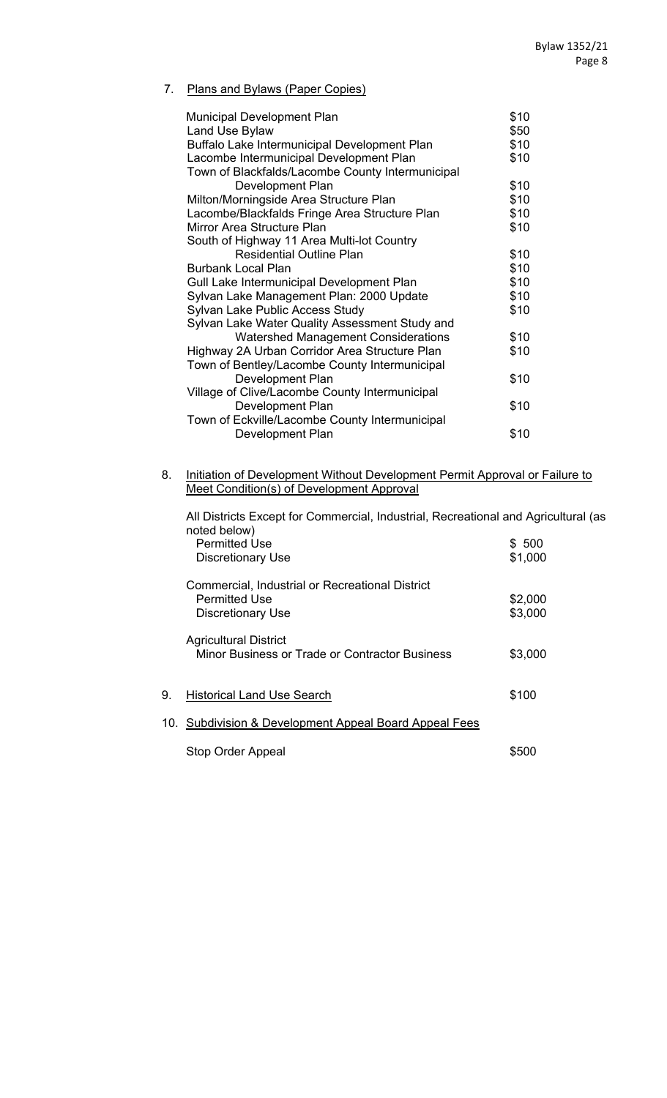## 7. Plans and Bylaws (Paper Copies)

| <b>Municipal Development Plan</b>                | \$10 |
|--------------------------------------------------|------|
| Land Use Bylaw                                   | \$50 |
| Buffalo Lake Intermunicipal Development Plan     | \$10 |
| Lacombe Intermunicipal Development Plan          | \$10 |
| Town of Blackfalds/Lacombe County Intermunicipal |      |
| Development Plan                                 | \$10 |
| Milton/Morningside Area Structure Plan           | \$10 |
| Lacombe/Blackfalds Fringe Area Structure Plan    | \$10 |
| Mirror Area Structure Plan                       | \$10 |
| South of Highway 11 Area Multi-lot Country       |      |
| <b>Residential Outline Plan</b>                  | \$10 |
| <b>Burbank Local Plan</b>                        | \$10 |
| Gull Lake Intermunicipal Development Plan        | \$10 |
| Sylvan Lake Management Plan: 2000 Update         | \$10 |
| Sylvan Lake Public Access Study                  | \$10 |
| Sylvan Lake Water Quality Assessment Study and   |      |
| <b>Watershed Management Considerations</b>       | \$10 |
| Highway 2A Urban Corridor Area Structure Plan    | \$10 |
| Town of Bentley/Lacombe County Intermunicipal    |      |
| Development Plan                                 | \$10 |
| Village of Clive/Lacombe County Intermunicipal   |      |
| Development Plan                                 | \$10 |
| Town of Eckville/Lacombe County Intermunicipal   |      |
| Development Plan                                 | \$10 |
|                                                  |      |

8. Initiation of Development Without Development Permit Approval or Failure to Meet Condition(s) of Development Approval

|    | All Districts Except for Commercial, Industrial, Recreational and Agricultural (as<br>noted below) |         |  |
|----|----------------------------------------------------------------------------------------------------|---------|--|
|    | <b>Permitted Use</b>                                                                               | \$ 500  |  |
|    | <b>Discretionary Use</b>                                                                           | \$1,000 |  |
|    | Commercial, Industrial or Recreational District                                                    |         |  |
|    | <b>Permitted Use</b>                                                                               | \$2,000 |  |
|    | <b>Discretionary Use</b>                                                                           | \$3,000 |  |
|    | <b>Agricultural District</b>                                                                       |         |  |
|    | Minor Business or Trade or Contractor Business                                                     | \$3,000 |  |
|    |                                                                                                    |         |  |
| 9. | <b>Historical Land Use Search</b>                                                                  | \$100   |  |
|    | 10. Subdivision & Development Appeal Board Appeal Fees                                             |         |  |
|    | Stop Order Appeal                                                                                  | \$500   |  |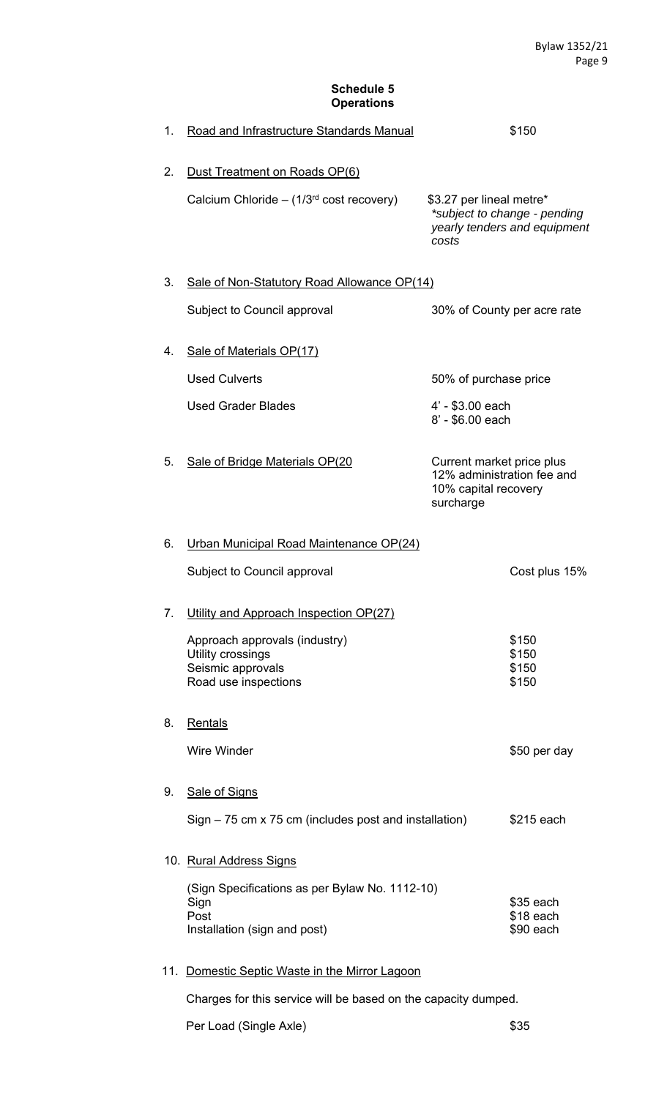## **Schedule 5 Operations**

| 1. | Road and Infrastructure Standards Manual                                                       |                                                                                              | \$150                                                        |
|----|------------------------------------------------------------------------------------------------|----------------------------------------------------------------------------------------------|--------------------------------------------------------------|
| 2. | Dust Treatment on Roads OP(6)<br>Calcium Chloride - $(1/3rd cost recovery)$                    | \$3.27 per lineal metre*<br>costs                                                            | *subject to change - pending<br>yearly tenders and equipment |
| 3. | Sale of Non-Statutory Road Allowance OP(14)                                                    |                                                                                              |                                                              |
|    | Subject to Council approval                                                                    | 30% of County per acre rate                                                                  |                                                              |
| 4. | Sale of Materials OP(17)                                                                       |                                                                                              |                                                              |
|    | <b>Used Culverts</b>                                                                           | 50% of purchase price                                                                        |                                                              |
|    | <b>Used Grader Blades</b>                                                                      | 4' - \$3.00 each<br>8' - \$6.00 each                                                         |                                                              |
| 5. | Sale of Bridge Materials OP(20                                                                 | Current market price plus<br>12% administration fee and<br>10% capital recovery<br>surcharge |                                                              |
| 6. | Urban Municipal Road Maintenance OP(24)                                                        |                                                                                              |                                                              |
|    | Subject to Council approval                                                                    |                                                                                              | Cost plus 15%                                                |
| 7. | Utility and Approach Inspection OP(27)                                                         |                                                                                              |                                                              |
|    | Approach approvals (industry)<br>Utility crossings                                             |                                                                                              | \$150<br>\$150                                               |
|    | Seismic approvals<br>Road use inspections                                                      |                                                                                              | \$150<br>\$150                                               |
| 8. | Rentals                                                                                        |                                                                                              |                                                              |
|    | <b>Wire Winder</b>                                                                             |                                                                                              | \$50 per day                                                 |
| 9. | <b>Sale of Signs</b>                                                                           |                                                                                              |                                                              |
|    | $Sign - 75$ cm x 75 cm (includes post and installation)                                        |                                                                                              | \$215 each                                                   |
|    | 10. Rural Address Signs                                                                        |                                                                                              |                                                              |
|    | (Sign Specifications as per Bylaw No. 1112-10)<br>Sign<br>Post<br>Installation (sign and post) |                                                                                              | $$35$ each<br>\$18 each<br>\$90 each                         |

## 11. Domestic Septic Waste in the Mirror Lagoon

Charges for this service will be based on the capacity dumped.

Per Load (Single Axle)  $$35$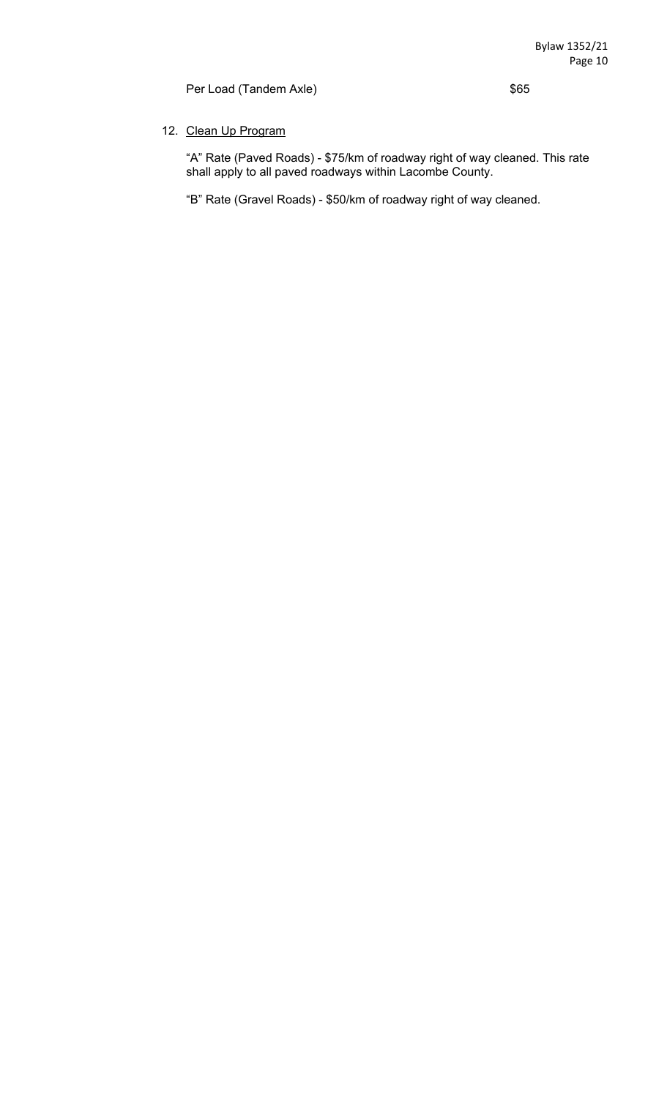Per Load (Tandem Axle)  $$65$ 

## 12. Clean Up Program

 "A" Rate (Paved Roads) - \$75/km of roadway right of way cleaned. This rate shall apply to all paved roadways within Lacombe County.

"B" Rate (Gravel Roads) - \$50/km of roadway right of way cleaned.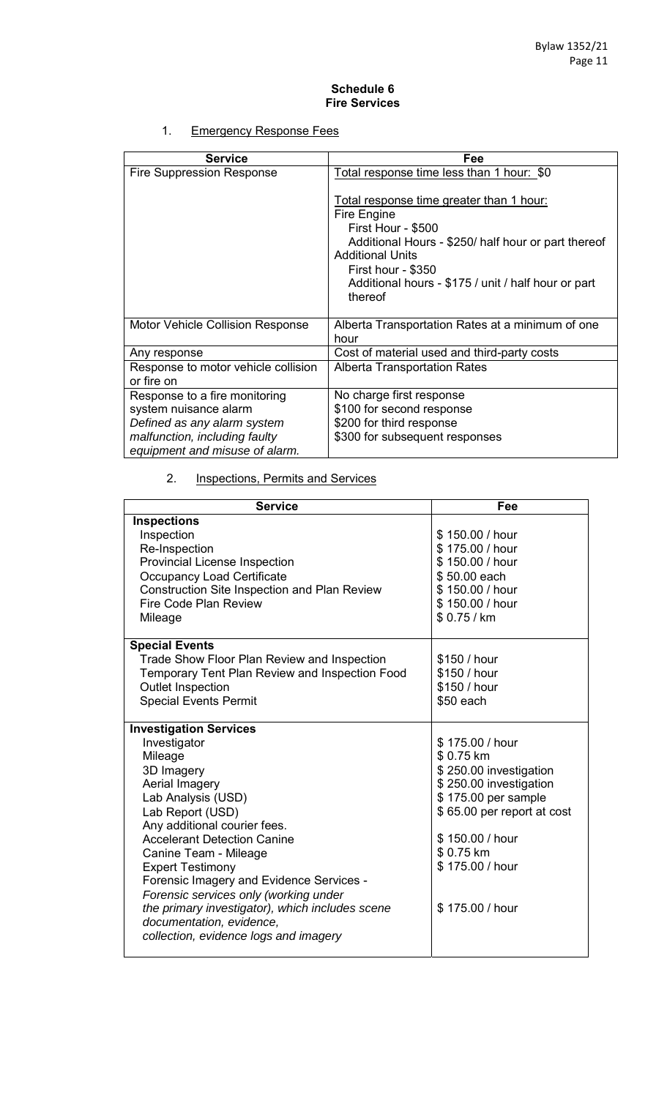#### **Schedule 6 Fire Services**

## 1. Emergency Response Fees

| <b>Service</b>                                                                        | Fee                                                                                                                                                                                                                                                     |
|---------------------------------------------------------------------------------------|---------------------------------------------------------------------------------------------------------------------------------------------------------------------------------------------------------------------------------------------------------|
| <b>Fire Suppression Response</b>                                                      | Total response time less than 1 hour: \$0                                                                                                                                                                                                               |
|                                                                                       | Total response time greater than 1 hour:<br>Fire Engine<br>First Hour - \$500<br>Additional Hours - \$250/ half hour or part thereof<br><b>Additional Units</b><br>First hour - \$350<br>Additional hours - \$175 / unit / half hour or part<br>thereof |
| Motor Vehicle Collision Response                                                      | Alberta Transportation Rates at a minimum of one<br>hour                                                                                                                                                                                                |
| Any response                                                                          | Cost of material used and third-party costs                                                                                                                                                                                                             |
| Response to motor vehicle collision<br>or fire on                                     | <b>Alberta Transportation Rates</b>                                                                                                                                                                                                                     |
| Response to a fire monitoring<br>system nuisance alarm<br>Defined as any alarm system | No charge first response<br>\$100 for second response<br>\$200 for third response                                                                                                                                                                       |
| malfunction, including faulty<br>equipment and misuse of alarm.                       | \$300 for subsequent responses                                                                                                                                                                                                                          |

## 2. **Inspections, Permits and Services**

| <b>Service</b>                                      | Fee                        |
|-----------------------------------------------------|----------------------------|
| <b>Inspections</b>                                  |                            |
| Inspection                                          | \$150.00 / hour            |
| Re-Inspection                                       | \$175.00 / hour            |
| <b>Provincial License Inspection</b>                | \$150.00 / hour            |
| <b>Occupancy Load Certificate</b>                   | \$50.00 each               |
| <b>Construction Site Inspection and Plan Review</b> | \$150.00 / hour            |
| Fire Code Plan Review                               | \$150.00 / hour            |
| Mileage                                             | \$0.75/km                  |
|                                                     |                            |
| <b>Special Events</b>                               |                            |
| <b>Trade Show Floor Plan Review and Inspection</b>  | \$150 / hour               |
| Temporary Tent Plan Review and Inspection Food      | \$150 / hour               |
| <b>Outlet Inspection</b>                            | \$150 / hour               |
| <b>Special Events Permit</b>                        | \$50 each                  |
|                                                     |                            |
| <b>Investigation Services</b>                       |                            |
| Investigator                                        | \$175.00 / hour            |
| Mileage                                             | \$0.75 km                  |
| 3D Imagery                                          | \$250.00 investigation     |
| Aerial Imagery                                      | \$250.00 investigation     |
| Lab Analysis (USD)                                  | \$175.00 per sample        |
| Lab Report (USD)                                    | \$65.00 per report at cost |
| Any additional courier fees.                        |                            |
| <b>Accelerant Detection Canine</b>                  | \$150.00 / hour            |
| Canine Team - Mileage                               | \$0.75 km                  |
| <b>Expert Testimony</b>                             | \$175.00 / hour            |
| Forensic Imagery and Evidence Services -            |                            |
| Forensic services only (working under               |                            |
| the primary investigator), which includes scene     | \$175.00 / hour            |
| documentation, evidence,                            |                            |
| collection, evidence logs and imagery               |                            |
|                                                     |                            |